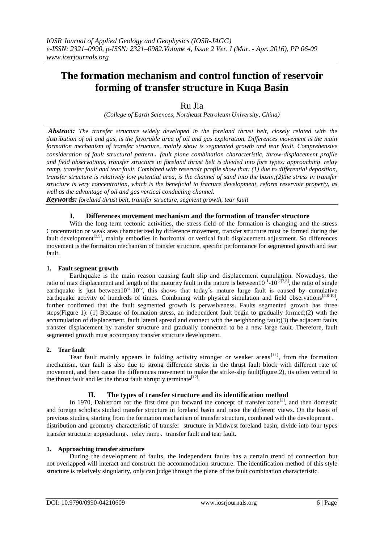# **The formation mechanism and control function of reservoir forming of transfer structure in Kuqa Basin**

## Ru Jia

*(College of Earth Sciences, Northeast Petroleum University, China)*

*Abstract: The transfer structure widely developed in the foreland thrust belt, closely related with the distribution of oil and gas, is the favorable area of oil and gas exploration. Differences movement is the main formation mechanism of transfer structure, mainly show is segmented growth and tear fault. Comprehensive consideration of fault structural pattern*、*fault plane combination characteristic, throw-displacement profile and field observations, transfer structure in foreland thrust belt is divided into fore types: approaching, relay ramp, transfer fault and tear fault. Combined with reservoir profile show that: (1) due to differential deposition, transfer structure is relatively low potential area, is the channel of sand into the basin;(2)the stress in transfer structure is very concentration, which is the beneficial to fracture development, reform reservoir property, as well as the advantage of oil and gas vertical conducting channel.*

*Keywords: foreland thrust belt, transfer structure, segment growth, tear fault*

### **I. Differences movement mechanism and the formation of transfer structure**

With the long-term tectonic activities, the stress field of the formation is changing and the stress Concentration or weak area characterized by difference movement, transfer structure must be formed during the fault development<sup>[2,5]</sup>, mainly embodies in horizontal or vertical fault displacement adjustment. So differences movement is the formation mechanism of transfer structure, specific performance for segmented growth and tear fault.

### **1. Fault segment growth**

Earthquake is the main reason causing fault slip and displacement cumulation. Nowadays, the ratio of max displacement and length of the maturity fault in the nature is between  $10^{-1}$ - $10^{-2[7,8]}$ , the ratio of single earthquake is just between  $10^{-3}$ - $10^{-6}$ , this shows that today's mature large fault is caused by cumulative earthquake activity of hundreds of times. Combining with physical simulation and field observations<sup>[5,8-10]</sup>, further confirmed that the fault segmented growth is pervasiveness. Faults segmented growth has three steps(Figure 1): (1) Because of formation stress, an independent fault begin to gradually formed;(2) with the accumulation of displacement, fault lateral spread and connect with the neighboring fault;(3) the adjacent faults transfer displacement by transfer structure and gradually connected to be a new large fault. Therefore, fault segmented growth must accompany transfer structure development.

### **2. Tear fault**

Tear fault mainly appears in folding activity stronger or weaker areas<sup>[11]</sup>, from the formation mechanism, tear fault is also due to strong difference stress in the thrust fault block with different rate of movement, and then cause the differences movement to make the strike-slip fault(figure 2), its often vertical to the thrust fault and let the thrust fault abruptly terminate  $[12]$ .

### **II. The types of transfer structure and its identification method**

In 1970, Dahlstrom for the first time put forward the concept of transfer zone $[2]$ , and then domestic and foreign scholars studied transfer structure in foreland basin and raise the different views. On the basis of previous studies, starting from the formation mechanism of transfer structure, combined with the development、 distribution and geometry characteristic of transfer structure in Midwest foreland basin, divide into four types transfer structure: approaching, relay ramp, transfer fault and tear fault.

#### **1. Approaching transfer structure**

During the development of faults, the independent faults has a certain trend of connection but not overlapped will interact and construct the accommodation structure. The identification method of this style structure is relatively singularity, only can judge through the plane of the fault combination characteristic.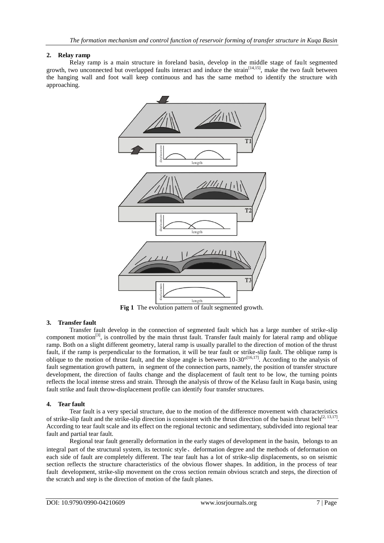#### **2. Relay ramp**

Relay ramp is a main structure in foreland basin, develop in the middle stage of fault segmented growth, two unconnected but overlapped faults interact and induce the strain<sup>[14,15]</sup>, make the two fault between the hanging wall and foot wall keep continuous and has the same method to identify the structure with approaching.



**Fig 1** The evolution pattern of fault segmented growth.

### **3. Transfer fault**

Transfer fault develop in the connection of segmented fault which has a large number of strike-slip component motion<sup>[3]</sup>, is controlled by the main thrust fault. Transfer fault mainly for lateral ramp and oblique ramp. Both on a slight different geometry, lateral ramp is usually parallel to the direction of motion of the thrust fault, if the ramp is perpendicular to the formation, it will be tear fault or strike-slip fault. The oblique ramp is oblique to the motion of thrust fault, and the slope angle is between  $10-30^{\circ[16,17]}$ . According to the analysis of fault segmentation growth pattern, in segment of the connection parts, namely, the position of transfer structure development, the direction of faults change and the displacement of fault tent to be low, the turning points reflects the local intense stress and strain. Through the analysis of throw of the Kelasu fault in Kuqa basin, using fault strike and fault throw-displacement profile can identify four transfer structures.

#### **4. Tear fault**

Tear fault is a very special structure, due to the motion of the difference movement with characteristics of strike-slip fault and the strike-slip direction is consistent with the thrust direction of the basin thrust belt<sup>[2, 13,17]</sup>. According to tear fault scale and its effect on the regional tectonic and sedimentary, subdivided into regional tear fault and partial tear fault.

Regional tear fault generally deformation in the early stages of development in the basin, belongs to an integral part of the structural system, its tectonic style、deformation degree and the methods of deformation on each side of fault are completely different. The tear fault has a lot of strike-slip displacements, so on seismic section reflects the structure characteristics of the obvious flower shapes. In addition, in the process of tear fault development, strike-slip movement on the cross section remain obvious scratch and steps, the direction of the scratch and step is the direction of motion of the fault planes.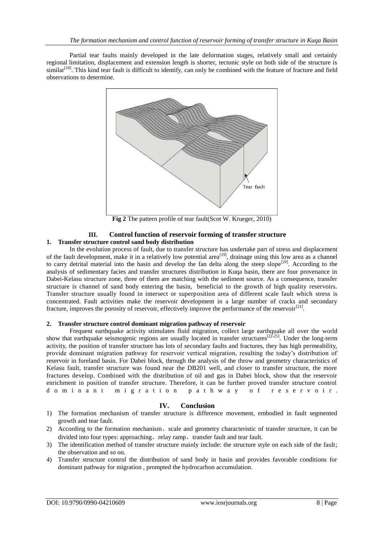Partial tear faults mainly developed in the late deformation stages, relatively small and certainly regional limitation, displacement and extension length is shorter, tectonic style on both side of the structure is similar<sup>[18]</sup>. This kind tear fault is difficult to identify, can only be combined with the feature of fracture and field observations to determine.



**Fig 2** The pattern profile of tear fault(Scot W. Krueger, 2010)

#### **III. Control function of reservoir forming of transfer structure 1. Transfer structure control sand body distribution**

In the evolution process of fault, due to transfer structure has undertake part of stress and displacement of the fault development, make it in a relatively low potential area<sup>[19]</sup>, drainage using this low area as a channel to carry detrital material into the basin and develop the fan delta along the steep slope<sup>[20]</sup>. According to the analysis of sedimentary facies and transfer structures distribution in Kuqa basin, there are four provenance in Dabei-Kelasu structure zone, three of them are matching with the sediment source. As a consequence, transfer structure is channel of sand body entering the basin, beneficial to the growth of high quality reservoirs. Transfer structure usually found in intersect or superposition area of different scale fault which stress is concentrated. Fault activities make the reservoir development in a large number of cracks and secondary fracture, improves the porosity of reservoir, effectively improve the performance of the reservoir<sup>[21]</sup>.

#### **2. Transfer structure control dominant migration pathway of reservoir**

Frequent earthquake activity stimulates fluid migration, collect large earthquake all over the world show that earthquake seismogenic regions are usually located in transfer structures<sup>[22-25]</sup>. Under the long-term activity, the position of transfer structure has lots of secondary faults and fractures, they has high permeability, provide dominant migration pathway for reservoir vertical migration, resulting the today's distribution of reservoir in foreland basin. For Dabei block, through the analysis of the throw and geometry characteristics of Kelasu fault, transfer structure was found near the DB201 well, and closer to transfer structure, the more fractures develop. Combined with the distribution of oil and gas in Dabei block, show that the reservoir enrichment in position of transfer structure. Therefore, it can be further proved transfer structure control d o m i n a n t m i g r a t i o n p a t h w a y o f r e s e r v o i r .

### **IV. Conclusion**

- 1) The formation mechanism of transfer structure is difference movement, embodied in fault segmented growth and tear fault.
- 2) According to the formation mechanism、scale and geometry characteristic of transfer structure, it can be divided into four types: approaching, relay ramp, transfer fault and tear fault.
- 3) The identification method of transfer structure mainly include: the structure style on each side of the fault; the observation and so on.
- 4) Transfer structure control the distribution of sand body in basin and provides favorable conditions for dominant pathway for migration , prompted the hydrocarbon accumulation.